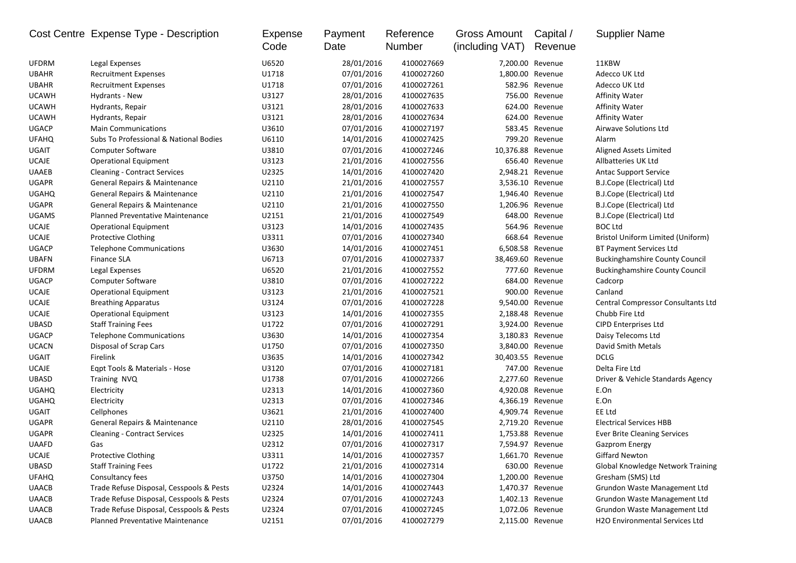| U6520<br>28/01/2016<br>4100027669<br>11KBW<br><b>UFDRM</b><br>Legal Expenses<br>7,200.00 Revenue<br><b>UBAHR</b><br>U1718<br>07/01/2016<br>4100027260<br>1,800.00 Revenue<br>Adecco UK Ltd<br><b>Recruitment Expenses</b> |  |
|---------------------------------------------------------------------------------------------------------------------------------------------------------------------------------------------------------------------------|--|
|                                                                                                                                                                                                                           |  |
|                                                                                                                                                                                                                           |  |
| <b>UBAHR</b><br>U1718<br>07/01/2016<br>4100027261<br>582.96 Revenue<br>Adecco UK Ltd<br><b>Recruitment Expenses</b>                                                                                                       |  |
| <b>UCAWH</b><br>U3127<br>28/01/2016<br>4100027635<br>Hydrants - New<br>756.00 Revenue<br><b>Affinity Water</b>                                                                                                            |  |
| 4100027633<br><b>UCAWH</b><br>U3121<br>28/01/2016<br>624.00 Revenue<br>Hydrants, Repair<br>Affinity Water                                                                                                                 |  |
| <b>UCAWH</b><br>U3121<br>28/01/2016<br>4100027634<br>Hydrants, Repair<br>624.00 Revenue<br><b>Affinity Water</b>                                                                                                          |  |
| 07/01/2016<br><b>UGACP</b><br><b>Main Communications</b><br>U3610<br>4100027197<br>583.45 Revenue<br>Airwave Solutions Ltd                                                                                                |  |
| Subs To Professional & National Bodies<br>U6110<br>14/01/2016<br>4100027425<br>799.20 Revenue<br><b>UFAHQ</b><br>Alarm                                                                                                    |  |
| UGAIT<br>U3810<br>07/01/2016<br>4100027246<br>10,376.88 Revenue<br><b>Computer Software</b><br>Aligned Assets Limited                                                                                                     |  |
| 21/01/2016<br>UCAJE<br><b>Operational Equipment</b><br>U3123<br>4100027556<br>656.40 Revenue<br>Allbatteries UK Ltd                                                                                                       |  |
| <b>UAAEB</b><br>U2325<br>14/01/2016<br>2,948.21 Revenue<br><b>Cleaning - Contract Services</b><br>4100027420<br><b>Antac Support Service</b>                                                                              |  |
| <b>UGAPR</b><br>General Repairs & Maintenance<br>U2110<br>21/01/2016<br>3,536.10 Revenue<br>4100027557<br>B.J.Cope (Electrical) Ltd                                                                                       |  |
| <b>UGAHQ</b><br>General Repairs & Maintenance<br>U2110<br>21/01/2016<br>4100027547<br>1,946.40 Revenue<br>B.J.Cope (Electrical) Ltd                                                                                       |  |
| <b>UGAPR</b><br>21/01/2016<br>4100027550<br>1,206.96 Revenue<br>General Repairs & Maintenance<br>U2110<br>B.J.Cope (Electrical) Ltd                                                                                       |  |
| U2151<br>21/01/2016<br>4100027549<br>648.00 Revenue<br>B.J.Cope (Electrical) Ltd<br><b>UGAMS</b><br>Planned Preventative Maintenance                                                                                      |  |
| <b>UCAJE</b><br>U3123<br>14/01/2016<br>4100027435<br><b>BOC Ltd</b><br><b>Operational Equipment</b><br>564.96 Revenue                                                                                                     |  |
| <b>UCAJE</b><br>07/01/2016<br>4100027340<br>Bristol Uniform Limited (Uniform)<br><b>Protective Clothing</b><br>U3311<br>668.64 Revenue                                                                                    |  |
| <b>UGACP</b><br>U3630<br>14/01/2016<br>4100027451<br>6,508.58 Revenue<br><b>Telephone Communications</b><br>BT Payment Services Ltd                                                                                       |  |
| <b>UBAFN</b><br><b>Finance SLA</b><br>U6713<br>07/01/2016<br>4100027337<br><b>Buckinghamshire County Council</b><br>38,469.60 Revenue                                                                                     |  |
| 21/01/2016<br>4100027552<br><b>UFDRM</b><br>Legal Expenses<br>U6520<br>777.60 Revenue<br><b>Buckinghamshire County Council</b>                                                                                            |  |
| <b>UGACP</b><br>U3810<br>07/01/2016<br>4100027222<br>684.00 Revenue<br>Computer Software<br>Cadcorp                                                                                                                       |  |
| U3123<br>21/01/2016<br>4100027521<br>900.00 Revenue<br>Canland<br><b>UCAJE</b><br><b>Operational Equipment</b>                                                                                                            |  |
| U3124<br>07/01/2016<br>9,540.00 Revenue<br><b>UCAJE</b><br><b>Breathing Apparatus</b><br>4100027228<br><b>Central Compressor Consultants Ltd</b>                                                                          |  |
| <b>UCAJE</b><br>U3123<br>14/01/2016<br>4100027355<br>2,188.48 Revenue<br>Chubb Fire Ltd<br><b>Operational Equipment</b>                                                                                                   |  |
| 07/01/2016<br><b>UBASD</b><br><b>Staff Training Fees</b><br>U1722<br>4100027291<br>3,924.00 Revenue<br><b>CIPD Enterprises Ltd</b>                                                                                        |  |
| 14/01/2016<br>3,180.83 Revenue<br>Daisy Telecoms Ltd<br><b>UGACP</b><br><b>Telephone Communications</b><br>U3630<br>4100027354                                                                                            |  |
| <b>UCACN</b><br>U1750<br>07/01/2016<br>4100027350<br>3,840.00 Revenue<br>David Smith Metals<br>Disposal of Scrap Cars                                                                                                     |  |
| Firelink<br><b>DCLG</b><br>UGAIT<br>U3635<br>14/01/2016<br>4100027342<br>30,403.55 Revenue                                                                                                                                |  |
| <b>UCAJE</b><br>U3120<br>07/01/2016<br>4100027181<br>747.00 Revenue<br>Delta Fire Ltd<br>Egpt Tools & Materials - Hose                                                                                                    |  |
| <b>UBASD</b><br>U1738<br>07/01/2016<br>4100027266<br>2,277.60 Revenue<br>Training NVQ<br>Driver & Vehicle Standards Agency                                                                                                |  |
| <b>UGAHQ</b><br>U2313<br>14/01/2016<br>4100027360<br>4,920.08 Revenue<br>E.On<br>Electricity                                                                                                                              |  |
| U2313<br>07/01/2016<br>4100027346<br>E.On<br><b>UGAHQ</b><br>Electricity<br>4,366.19 Revenue                                                                                                                              |  |
| <b>UGAIT</b><br>U3621<br>21/01/2016<br>EE Ltd<br>Cellphones<br>4100027400<br>4,909.74 Revenue                                                                                                                             |  |
| U2110<br>28/01/2016<br>4100027545<br><b>UGAPR</b><br>General Repairs & Maintenance<br>2,719.20 Revenue<br><b>Electrical Services HBB</b>                                                                                  |  |
| <b>UGAPR</b><br>U2325<br>14/01/2016<br>1,753.88 Revenue<br><b>Ever Brite Cleaning Services</b><br><b>Cleaning - Contract Services</b><br>4100027411                                                                       |  |
| 07/01/2016<br>U2312<br>4100027317<br>7,594.97 Revenue<br><b>UAAFD</b><br>Gas<br><b>Gazprom Energy</b>                                                                                                                     |  |
| <b>UCAJE</b><br>Protective Clothing<br>U3311<br>14/01/2016<br><b>Giffard Newton</b><br>4100027357<br>1,661.70 Revenue                                                                                                     |  |
| UBASD<br><b>Staff Training Fees</b><br>U1722<br>21/01/2016<br>4100027314<br>630.00 Revenue<br>Global Knowledge Network Training                                                                                           |  |
| <b>UFAHQ</b><br>Consultancy fees<br>U3750<br>14/01/2016<br>4100027304<br>Gresham (SMS) Ltd<br>1,200.00 Revenue                                                                                                            |  |
| Trade Refuse Disposal, Cesspools & Pests<br>14/01/2016<br><b>UAACB</b><br>U2324<br>4100027443<br>1,470.37 Revenue<br>Grundon Waste Management Ltd                                                                         |  |
| 07/01/2016<br><b>UAACB</b><br>Trade Refuse Disposal, Cesspools & Pests<br>U2324<br>4100027243<br>Grundon Waste Management Ltd<br>1,402.13 Revenue                                                                         |  |
| <b>UAACB</b><br>Trade Refuse Disposal, Cesspools & Pests<br>U2324<br>07/01/2016<br>4100027245<br>1,072.06 Revenue<br>Grundon Waste Management Ltd                                                                         |  |
| 07/01/2016<br><b>UAACB</b><br>Planned Preventative Maintenance<br>U2151<br>4100027279<br>H2O Environmental Services Ltd<br>2,115.00 Revenue                                                                               |  |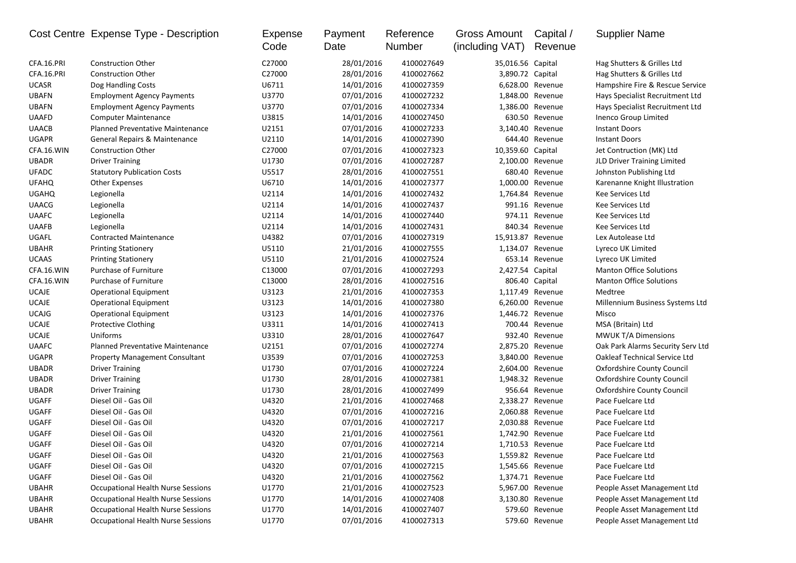| CFA.16.PRI<br><b>Construction Other</b><br>C27000<br>28/01/2016<br>4100027649<br>35,016.56 Capital<br>Hag Shutters & Grilles Ltd<br>CFA.16.PRI<br>C27000<br><b>Construction Other</b><br>28/01/2016<br>4100027662<br>3,890.72 Capital<br>Hag Shutters & Grilles Ltd<br><b>UCASR</b><br>U6711<br>14/01/2016<br>4100027359<br>6,628.00 Revenue<br>Hampshire Fire & Rescue Service<br>Dog Handling Costs<br><b>UBAFN</b><br><b>Employment Agency Payments</b><br>U3770<br>07/01/2016<br>4100027232<br>Hays Specialist Recruitment Ltd<br>1,848.00 Revenue<br>U3770<br><b>UBAFN</b><br>07/01/2016<br>4100027334<br>1,386.00 Revenue<br>Hays Specialist Recruitment Ltd<br><b>Employment Agency Payments</b><br>U3815<br>630.50 Revenue<br><b>UAAFD</b><br><b>Computer Maintenance</b><br>14/01/2016<br>4100027450<br>Inenco Group Limited<br>U2151<br><b>UAACB</b><br>Planned Preventative Maintenance<br>07/01/2016<br>4100027233<br>3,140.40 Revenue<br><b>Instant Doors</b><br><b>UGAPR</b><br>U2110<br>644.40 Revenue<br>General Repairs & Maintenance<br>14/01/2016<br>4100027390<br><b>Instant Doors</b><br>CFA.16.WIN<br>C27000<br>07/01/2016<br>4100027323<br>10,359.60 Capital<br><b>Construction Other</b><br>Jet Contruction (MK) Ltd<br>U1730<br>07/01/2016<br>2,100.00 Revenue<br><b>UBADR</b><br><b>Driver Training</b><br>4100027287<br>JLD Driver Training Limited<br><b>UFADC</b><br>U5517<br>28/01/2016<br>680.40 Revenue<br><b>Statutory Publication Costs</b><br>4100027551<br>Johnston Publishing Ltd<br><b>UFAHQ</b><br>U6710<br>14/01/2016<br>1,000.00 Revenue<br>Other Expenses<br>4100027377<br>Karenanne Knight Illustration<br>U2114<br>14/01/2016<br>4100027432<br>1,764.84 Revenue<br><b>UGAHQ</b><br>Legionella<br>Kee Services Ltd<br>U2114<br>991.16 Revenue<br><b>UAACG</b><br>Legionella<br>14/01/2016<br>4100027437<br>Kee Services Ltd<br><b>UAAFC</b><br>Legionella<br>U2114<br>14/01/2016<br>4100027440<br>974.11 Revenue<br>Kee Services Ltd<br><b>UAAFB</b><br>Legionella<br>U2114<br>14/01/2016<br>4100027431<br>840.34 Revenue<br>Kee Services Ltd<br>UGAFL<br>U4382<br>07/01/2016<br>4100027319<br>15,913.87 Revenue<br><b>Contracted Maintenance</b><br>Lex Autolease Ltd<br><b>UBAHR</b><br>U5110<br>21/01/2016<br>4100027555<br>1,134.07 Revenue<br><b>Printing Stationery</b><br>Lyreco UK Limited<br>U5110<br>21/01/2016<br>4100027524<br><b>UCAAS</b><br><b>Printing Stationery</b><br>653.14 Revenue<br>Lyreco UK Limited<br>CFA.16.WIN<br>Purchase of Furniture<br>C13000<br>2,427.54 Capital<br><b>Manton Office Solutions</b><br>07/01/2016<br>4100027293<br>C13000<br>CFA.16.WIN<br>Purchase of Furniture<br>28/01/2016<br>4100027516<br>806.40 Capital<br><b>Manton Office Solutions</b><br><b>UCAJE</b><br>U3123<br>21/01/2016<br>4100027353<br>1,117.49 Revenue<br><b>Operational Equipment</b><br>Medtree<br><b>UCAJE</b><br>U3123<br>14/01/2016<br>4100027380<br>6,260.00 Revenue<br><b>Operational Equipment</b><br>Millennium Business Systems Ltd<br>U3123<br><b>UCAJG</b><br>14/01/2016<br>4100027376<br>1,446.72 Revenue<br><b>Operational Equipment</b><br>Misco<br><b>UCAJE</b><br><b>Protective Clothing</b><br>U3311<br>14/01/2016<br>4100027413<br>700.44 Revenue<br>MSA (Britain) Ltd<br><b>UCAJE</b><br>Uniforms<br>U3310<br>932.40 Revenue<br><b>MWUK T/A Dimensions</b><br>28/01/2016<br>4100027647<br><b>UAAFC</b><br>Planned Preventative Maintenance<br>U2151<br>07/01/2016<br>4100027274<br>2,875.20 Revenue<br>Oak Park Alarms Security Serv Ltd<br>U3539<br><b>UGAPR</b><br>07/01/2016<br>4100027253<br>3,840.00 Revenue<br>Oakleaf Technical Service Ltd<br><b>Property Management Consultant</b><br><b>UBADR</b><br>U1730<br>07/01/2016<br>4100027224<br><b>Driver Training</b><br>2,604.00 Revenue<br>Oxfordshire County Council<br><b>UBADR</b><br>U1730<br>28/01/2016<br>4100027381<br>1,948.32 Revenue<br><b>Driver Training</b><br>Oxfordshire County Council<br><b>UBADR</b><br>U1730<br>28/01/2016<br>4100027499<br>956.64 Revenue<br><b>Driver Training</b><br>Oxfordshire County Council<br>UGAFF<br>Diesel Oil - Gas Oil<br>U4320<br>21/01/2016<br>4100027468<br>Pace Fuelcare Ltd<br>2,338.27 Revenue<br>U4320<br>2,060.88 Revenue<br>UGAFF<br>Diesel Oil - Gas Oil<br>07/01/2016<br>4100027216<br>Pace Fuelcare Ltd<br>Diesel Oil - Gas Oil<br>U4320<br>07/01/2016<br>4100027217<br>2,030.88 Revenue<br>UGAFF<br>Pace Fuelcare Ltd<br>UGAFF<br>Diesel Oil - Gas Oil<br>U4320<br>21/01/2016<br>4100027561<br>1,742.90 Revenue<br>Pace Fuelcare Ltd<br>U4320<br><b>UGAFF</b><br>Diesel Oil - Gas Oil<br>07/01/2016<br>4100027214<br>1,710.53 Revenue<br>Pace Fuelcare Ltd<br>UGAFF<br>Diesel Oil - Gas Oil<br>U4320<br>21/01/2016<br>4100027563<br>1,559.82 Revenue<br>Pace Fuelcare Ltd<br>07/01/2016<br>UGAFF<br>Diesel Oil - Gas Oil<br>U4320<br>4100027215<br>1,545.66 Revenue<br>Pace Fuelcare Ltd<br>UGAFF<br>Diesel Oil - Gas Oil<br>U4320<br>21/01/2016<br>1,374.71 Revenue<br>Pace Fuelcare Ltd<br>4100027562<br><b>UBAHR</b><br><b>Occupational Health Nurse Sessions</b><br>U1770<br>21/01/2016<br>4100027523<br>5,967.00 Revenue<br>People Asset Management Ltd<br><b>UBAHR</b><br>Occupational Health Nurse Sessions<br>U1770<br>14/01/2016<br>4100027408<br>3,130.80 Revenue<br>People Asset Management Ltd<br><b>UBAHR</b><br><b>Occupational Health Nurse Sessions</b><br>U1770<br>14/01/2016<br>4100027407<br>579.60 Revenue<br>People Asset Management Ltd<br>579.60 Revenue<br>People Asset Management Ltd |              | Cost Centre Expense Type - Description | Expense<br>Code | Payment<br>Date | Reference<br>Number | Gross Amount<br>(including VAT) | Capital /<br>Revenue | <b>Supplier Name</b> |
|----------------------------------------------------------------------------------------------------------------------------------------------------------------------------------------------------------------------------------------------------------------------------------------------------------------------------------------------------------------------------------------------------------------------------------------------------------------------------------------------------------------------------------------------------------------------------------------------------------------------------------------------------------------------------------------------------------------------------------------------------------------------------------------------------------------------------------------------------------------------------------------------------------------------------------------------------------------------------------------------------------------------------------------------------------------------------------------------------------------------------------------------------------------------------------------------------------------------------------------------------------------------------------------------------------------------------------------------------------------------------------------------------------------------------------------------------------------------------------------------------------------------------------------------------------------------------------------------------------------------------------------------------------------------------------------------------------------------------------------------------------------------------------------------------------------------------------------------------------------------------------------------------------------------------------------------------------------------------------------------------------------------------------------------------------------------------------------------------------------------------------------------------------------------------------------------------------------------------------------------------------------------------------------------------------------------------------------------------------------------------------------------------------------------------------------------------------------------------------------------------------------------------------------------------------------------------------------------------------------------------------------------------------------------------------------------------------------------------------------------------------------------------------------------------------------------------------------------------------------------------------------------------------------------------------------------------------------------------------------------------------------------------------------------------------------------------------------------------------------------------------------------------------------------------------------------------------------------------------------------------------------------------------------------------------------------------------------------------------------------------------------------------------------------------------------------------------------------------------------------------------------------------------------------------------------------------------------------------------------------------------------------------------------------------------------------------------------------------------------------------------------------------------------------------------------------------------------------------------------------------------------------------------------------------------------------------------------------------------------------------------------------------------------------------------------------------------------------------------------------------------------------------------------------------------------------------------------------------------------------------------------------------------------------------------------------------------------------------------------------------------------------------------------------------------------------------------------------------------------------------------------------------------------------------------------------------------------------------------------------------------------------------------------------------------------------------------------------------------------------------------------------------------------------------------------------------------------------------------------------------------------------------------------------------------------------------------------------------------------------------------------------------------------------------------------------------------------------------------------------------------------------------------------------------------------------------------------------------------------------------------------------------------------------------------------------------------------------------------------------------------------------------------------------------------------------------------------------------------------------------------------------|--------------|----------------------------------------|-----------------|-----------------|---------------------|---------------------------------|----------------------|----------------------|
|                                                                                                                                                                                                                                                                                                                                                                                                                                                                                                                                                                                                                                                                                                                                                                                                                                                                                                                                                                                                                                                                                                                                                                                                                                                                                                                                                                                                                                                                                                                                                                                                                                                                                                                                                                                                                                                                                                                                                                                                                                                                                                                                                                                                                                                                                                                                                                                                                                                                                                                                                                                                                                                                                                                                                                                                                                                                                                                                                                                                                                                                                                                                                                                                                                                                                                                                                                                                                                                                                                                                                                                                                                                                                                                                                                                                                                                                                                                                                                                                                                                                                                                                                                                                                                                                                                                                                                                                                                                                                                                                                                                                                                                                                                                                                                                                                                                                                                                                                                                                                                                                                                                                                                                                                                                                                                                                                                                                                                                                                                                      |              |                                        |                 |                 |                     |                                 |                      |                      |
|                                                                                                                                                                                                                                                                                                                                                                                                                                                                                                                                                                                                                                                                                                                                                                                                                                                                                                                                                                                                                                                                                                                                                                                                                                                                                                                                                                                                                                                                                                                                                                                                                                                                                                                                                                                                                                                                                                                                                                                                                                                                                                                                                                                                                                                                                                                                                                                                                                                                                                                                                                                                                                                                                                                                                                                                                                                                                                                                                                                                                                                                                                                                                                                                                                                                                                                                                                                                                                                                                                                                                                                                                                                                                                                                                                                                                                                                                                                                                                                                                                                                                                                                                                                                                                                                                                                                                                                                                                                                                                                                                                                                                                                                                                                                                                                                                                                                                                                                                                                                                                                                                                                                                                                                                                                                                                                                                                                                                                                                                                                      |              |                                        |                 |                 |                     |                                 |                      |                      |
|                                                                                                                                                                                                                                                                                                                                                                                                                                                                                                                                                                                                                                                                                                                                                                                                                                                                                                                                                                                                                                                                                                                                                                                                                                                                                                                                                                                                                                                                                                                                                                                                                                                                                                                                                                                                                                                                                                                                                                                                                                                                                                                                                                                                                                                                                                                                                                                                                                                                                                                                                                                                                                                                                                                                                                                                                                                                                                                                                                                                                                                                                                                                                                                                                                                                                                                                                                                                                                                                                                                                                                                                                                                                                                                                                                                                                                                                                                                                                                                                                                                                                                                                                                                                                                                                                                                                                                                                                                                                                                                                                                                                                                                                                                                                                                                                                                                                                                                                                                                                                                                                                                                                                                                                                                                                                                                                                                                                                                                                                                                      |              |                                        |                 |                 |                     |                                 |                      |                      |
|                                                                                                                                                                                                                                                                                                                                                                                                                                                                                                                                                                                                                                                                                                                                                                                                                                                                                                                                                                                                                                                                                                                                                                                                                                                                                                                                                                                                                                                                                                                                                                                                                                                                                                                                                                                                                                                                                                                                                                                                                                                                                                                                                                                                                                                                                                                                                                                                                                                                                                                                                                                                                                                                                                                                                                                                                                                                                                                                                                                                                                                                                                                                                                                                                                                                                                                                                                                                                                                                                                                                                                                                                                                                                                                                                                                                                                                                                                                                                                                                                                                                                                                                                                                                                                                                                                                                                                                                                                                                                                                                                                                                                                                                                                                                                                                                                                                                                                                                                                                                                                                                                                                                                                                                                                                                                                                                                                                                                                                                                                                      |              |                                        |                 |                 |                     |                                 |                      |                      |
|                                                                                                                                                                                                                                                                                                                                                                                                                                                                                                                                                                                                                                                                                                                                                                                                                                                                                                                                                                                                                                                                                                                                                                                                                                                                                                                                                                                                                                                                                                                                                                                                                                                                                                                                                                                                                                                                                                                                                                                                                                                                                                                                                                                                                                                                                                                                                                                                                                                                                                                                                                                                                                                                                                                                                                                                                                                                                                                                                                                                                                                                                                                                                                                                                                                                                                                                                                                                                                                                                                                                                                                                                                                                                                                                                                                                                                                                                                                                                                                                                                                                                                                                                                                                                                                                                                                                                                                                                                                                                                                                                                                                                                                                                                                                                                                                                                                                                                                                                                                                                                                                                                                                                                                                                                                                                                                                                                                                                                                                                                                      |              |                                        |                 |                 |                     |                                 |                      |                      |
|                                                                                                                                                                                                                                                                                                                                                                                                                                                                                                                                                                                                                                                                                                                                                                                                                                                                                                                                                                                                                                                                                                                                                                                                                                                                                                                                                                                                                                                                                                                                                                                                                                                                                                                                                                                                                                                                                                                                                                                                                                                                                                                                                                                                                                                                                                                                                                                                                                                                                                                                                                                                                                                                                                                                                                                                                                                                                                                                                                                                                                                                                                                                                                                                                                                                                                                                                                                                                                                                                                                                                                                                                                                                                                                                                                                                                                                                                                                                                                                                                                                                                                                                                                                                                                                                                                                                                                                                                                                                                                                                                                                                                                                                                                                                                                                                                                                                                                                                                                                                                                                                                                                                                                                                                                                                                                                                                                                                                                                                                                                      |              |                                        |                 |                 |                     |                                 |                      |                      |
|                                                                                                                                                                                                                                                                                                                                                                                                                                                                                                                                                                                                                                                                                                                                                                                                                                                                                                                                                                                                                                                                                                                                                                                                                                                                                                                                                                                                                                                                                                                                                                                                                                                                                                                                                                                                                                                                                                                                                                                                                                                                                                                                                                                                                                                                                                                                                                                                                                                                                                                                                                                                                                                                                                                                                                                                                                                                                                                                                                                                                                                                                                                                                                                                                                                                                                                                                                                                                                                                                                                                                                                                                                                                                                                                                                                                                                                                                                                                                                                                                                                                                                                                                                                                                                                                                                                                                                                                                                                                                                                                                                                                                                                                                                                                                                                                                                                                                                                                                                                                                                                                                                                                                                                                                                                                                                                                                                                                                                                                                                                      |              |                                        |                 |                 |                     |                                 |                      |                      |
|                                                                                                                                                                                                                                                                                                                                                                                                                                                                                                                                                                                                                                                                                                                                                                                                                                                                                                                                                                                                                                                                                                                                                                                                                                                                                                                                                                                                                                                                                                                                                                                                                                                                                                                                                                                                                                                                                                                                                                                                                                                                                                                                                                                                                                                                                                                                                                                                                                                                                                                                                                                                                                                                                                                                                                                                                                                                                                                                                                                                                                                                                                                                                                                                                                                                                                                                                                                                                                                                                                                                                                                                                                                                                                                                                                                                                                                                                                                                                                                                                                                                                                                                                                                                                                                                                                                                                                                                                                                                                                                                                                                                                                                                                                                                                                                                                                                                                                                                                                                                                                                                                                                                                                                                                                                                                                                                                                                                                                                                                                                      |              |                                        |                 |                 |                     |                                 |                      |                      |
|                                                                                                                                                                                                                                                                                                                                                                                                                                                                                                                                                                                                                                                                                                                                                                                                                                                                                                                                                                                                                                                                                                                                                                                                                                                                                                                                                                                                                                                                                                                                                                                                                                                                                                                                                                                                                                                                                                                                                                                                                                                                                                                                                                                                                                                                                                                                                                                                                                                                                                                                                                                                                                                                                                                                                                                                                                                                                                                                                                                                                                                                                                                                                                                                                                                                                                                                                                                                                                                                                                                                                                                                                                                                                                                                                                                                                                                                                                                                                                                                                                                                                                                                                                                                                                                                                                                                                                                                                                                                                                                                                                                                                                                                                                                                                                                                                                                                                                                                                                                                                                                                                                                                                                                                                                                                                                                                                                                                                                                                                                                      |              |                                        |                 |                 |                     |                                 |                      |                      |
|                                                                                                                                                                                                                                                                                                                                                                                                                                                                                                                                                                                                                                                                                                                                                                                                                                                                                                                                                                                                                                                                                                                                                                                                                                                                                                                                                                                                                                                                                                                                                                                                                                                                                                                                                                                                                                                                                                                                                                                                                                                                                                                                                                                                                                                                                                                                                                                                                                                                                                                                                                                                                                                                                                                                                                                                                                                                                                                                                                                                                                                                                                                                                                                                                                                                                                                                                                                                                                                                                                                                                                                                                                                                                                                                                                                                                                                                                                                                                                                                                                                                                                                                                                                                                                                                                                                                                                                                                                                                                                                                                                                                                                                                                                                                                                                                                                                                                                                                                                                                                                                                                                                                                                                                                                                                                                                                                                                                                                                                                                                      |              |                                        |                 |                 |                     |                                 |                      |                      |
|                                                                                                                                                                                                                                                                                                                                                                                                                                                                                                                                                                                                                                                                                                                                                                                                                                                                                                                                                                                                                                                                                                                                                                                                                                                                                                                                                                                                                                                                                                                                                                                                                                                                                                                                                                                                                                                                                                                                                                                                                                                                                                                                                                                                                                                                                                                                                                                                                                                                                                                                                                                                                                                                                                                                                                                                                                                                                                                                                                                                                                                                                                                                                                                                                                                                                                                                                                                                                                                                                                                                                                                                                                                                                                                                                                                                                                                                                                                                                                                                                                                                                                                                                                                                                                                                                                                                                                                                                                                                                                                                                                                                                                                                                                                                                                                                                                                                                                                                                                                                                                                                                                                                                                                                                                                                                                                                                                                                                                                                                                                      |              |                                        |                 |                 |                     |                                 |                      |                      |
|                                                                                                                                                                                                                                                                                                                                                                                                                                                                                                                                                                                                                                                                                                                                                                                                                                                                                                                                                                                                                                                                                                                                                                                                                                                                                                                                                                                                                                                                                                                                                                                                                                                                                                                                                                                                                                                                                                                                                                                                                                                                                                                                                                                                                                                                                                                                                                                                                                                                                                                                                                                                                                                                                                                                                                                                                                                                                                                                                                                                                                                                                                                                                                                                                                                                                                                                                                                                                                                                                                                                                                                                                                                                                                                                                                                                                                                                                                                                                                                                                                                                                                                                                                                                                                                                                                                                                                                                                                                                                                                                                                                                                                                                                                                                                                                                                                                                                                                                                                                                                                                                                                                                                                                                                                                                                                                                                                                                                                                                                                                      |              |                                        |                 |                 |                     |                                 |                      |                      |
|                                                                                                                                                                                                                                                                                                                                                                                                                                                                                                                                                                                                                                                                                                                                                                                                                                                                                                                                                                                                                                                                                                                                                                                                                                                                                                                                                                                                                                                                                                                                                                                                                                                                                                                                                                                                                                                                                                                                                                                                                                                                                                                                                                                                                                                                                                                                                                                                                                                                                                                                                                                                                                                                                                                                                                                                                                                                                                                                                                                                                                                                                                                                                                                                                                                                                                                                                                                                                                                                                                                                                                                                                                                                                                                                                                                                                                                                                                                                                                                                                                                                                                                                                                                                                                                                                                                                                                                                                                                                                                                                                                                                                                                                                                                                                                                                                                                                                                                                                                                                                                                                                                                                                                                                                                                                                                                                                                                                                                                                                                                      |              |                                        |                 |                 |                     |                                 |                      |                      |
|                                                                                                                                                                                                                                                                                                                                                                                                                                                                                                                                                                                                                                                                                                                                                                                                                                                                                                                                                                                                                                                                                                                                                                                                                                                                                                                                                                                                                                                                                                                                                                                                                                                                                                                                                                                                                                                                                                                                                                                                                                                                                                                                                                                                                                                                                                                                                                                                                                                                                                                                                                                                                                                                                                                                                                                                                                                                                                                                                                                                                                                                                                                                                                                                                                                                                                                                                                                                                                                                                                                                                                                                                                                                                                                                                                                                                                                                                                                                                                                                                                                                                                                                                                                                                                                                                                                                                                                                                                                                                                                                                                                                                                                                                                                                                                                                                                                                                                                                                                                                                                                                                                                                                                                                                                                                                                                                                                                                                                                                                                                      |              |                                        |                 |                 |                     |                                 |                      |                      |
|                                                                                                                                                                                                                                                                                                                                                                                                                                                                                                                                                                                                                                                                                                                                                                                                                                                                                                                                                                                                                                                                                                                                                                                                                                                                                                                                                                                                                                                                                                                                                                                                                                                                                                                                                                                                                                                                                                                                                                                                                                                                                                                                                                                                                                                                                                                                                                                                                                                                                                                                                                                                                                                                                                                                                                                                                                                                                                                                                                                                                                                                                                                                                                                                                                                                                                                                                                                                                                                                                                                                                                                                                                                                                                                                                                                                                                                                                                                                                                                                                                                                                                                                                                                                                                                                                                                                                                                                                                                                                                                                                                                                                                                                                                                                                                                                                                                                                                                                                                                                                                                                                                                                                                                                                                                                                                                                                                                                                                                                                                                      |              |                                        |                 |                 |                     |                                 |                      |                      |
|                                                                                                                                                                                                                                                                                                                                                                                                                                                                                                                                                                                                                                                                                                                                                                                                                                                                                                                                                                                                                                                                                                                                                                                                                                                                                                                                                                                                                                                                                                                                                                                                                                                                                                                                                                                                                                                                                                                                                                                                                                                                                                                                                                                                                                                                                                                                                                                                                                                                                                                                                                                                                                                                                                                                                                                                                                                                                                                                                                                                                                                                                                                                                                                                                                                                                                                                                                                                                                                                                                                                                                                                                                                                                                                                                                                                                                                                                                                                                                                                                                                                                                                                                                                                                                                                                                                                                                                                                                                                                                                                                                                                                                                                                                                                                                                                                                                                                                                                                                                                                                                                                                                                                                                                                                                                                                                                                                                                                                                                                                                      |              |                                        |                 |                 |                     |                                 |                      |                      |
|                                                                                                                                                                                                                                                                                                                                                                                                                                                                                                                                                                                                                                                                                                                                                                                                                                                                                                                                                                                                                                                                                                                                                                                                                                                                                                                                                                                                                                                                                                                                                                                                                                                                                                                                                                                                                                                                                                                                                                                                                                                                                                                                                                                                                                                                                                                                                                                                                                                                                                                                                                                                                                                                                                                                                                                                                                                                                                                                                                                                                                                                                                                                                                                                                                                                                                                                                                                                                                                                                                                                                                                                                                                                                                                                                                                                                                                                                                                                                                                                                                                                                                                                                                                                                                                                                                                                                                                                                                                                                                                                                                                                                                                                                                                                                                                                                                                                                                                                                                                                                                                                                                                                                                                                                                                                                                                                                                                                                                                                                                                      |              |                                        |                 |                 |                     |                                 |                      |                      |
|                                                                                                                                                                                                                                                                                                                                                                                                                                                                                                                                                                                                                                                                                                                                                                                                                                                                                                                                                                                                                                                                                                                                                                                                                                                                                                                                                                                                                                                                                                                                                                                                                                                                                                                                                                                                                                                                                                                                                                                                                                                                                                                                                                                                                                                                                                                                                                                                                                                                                                                                                                                                                                                                                                                                                                                                                                                                                                                                                                                                                                                                                                                                                                                                                                                                                                                                                                                                                                                                                                                                                                                                                                                                                                                                                                                                                                                                                                                                                                                                                                                                                                                                                                                                                                                                                                                                                                                                                                                                                                                                                                                                                                                                                                                                                                                                                                                                                                                                                                                                                                                                                                                                                                                                                                                                                                                                                                                                                                                                                                                      |              |                                        |                 |                 |                     |                                 |                      |                      |
|                                                                                                                                                                                                                                                                                                                                                                                                                                                                                                                                                                                                                                                                                                                                                                                                                                                                                                                                                                                                                                                                                                                                                                                                                                                                                                                                                                                                                                                                                                                                                                                                                                                                                                                                                                                                                                                                                                                                                                                                                                                                                                                                                                                                                                                                                                                                                                                                                                                                                                                                                                                                                                                                                                                                                                                                                                                                                                                                                                                                                                                                                                                                                                                                                                                                                                                                                                                                                                                                                                                                                                                                                                                                                                                                                                                                                                                                                                                                                                                                                                                                                                                                                                                                                                                                                                                                                                                                                                                                                                                                                                                                                                                                                                                                                                                                                                                                                                                                                                                                                                                                                                                                                                                                                                                                                                                                                                                                                                                                                                                      |              |                                        |                 |                 |                     |                                 |                      |                      |
|                                                                                                                                                                                                                                                                                                                                                                                                                                                                                                                                                                                                                                                                                                                                                                                                                                                                                                                                                                                                                                                                                                                                                                                                                                                                                                                                                                                                                                                                                                                                                                                                                                                                                                                                                                                                                                                                                                                                                                                                                                                                                                                                                                                                                                                                                                                                                                                                                                                                                                                                                                                                                                                                                                                                                                                                                                                                                                                                                                                                                                                                                                                                                                                                                                                                                                                                                                                                                                                                                                                                                                                                                                                                                                                                                                                                                                                                                                                                                                                                                                                                                                                                                                                                                                                                                                                                                                                                                                                                                                                                                                                                                                                                                                                                                                                                                                                                                                                                                                                                                                                                                                                                                                                                                                                                                                                                                                                                                                                                                                                      |              |                                        |                 |                 |                     |                                 |                      |                      |
|                                                                                                                                                                                                                                                                                                                                                                                                                                                                                                                                                                                                                                                                                                                                                                                                                                                                                                                                                                                                                                                                                                                                                                                                                                                                                                                                                                                                                                                                                                                                                                                                                                                                                                                                                                                                                                                                                                                                                                                                                                                                                                                                                                                                                                                                                                                                                                                                                                                                                                                                                                                                                                                                                                                                                                                                                                                                                                                                                                                                                                                                                                                                                                                                                                                                                                                                                                                                                                                                                                                                                                                                                                                                                                                                                                                                                                                                                                                                                                                                                                                                                                                                                                                                                                                                                                                                                                                                                                                                                                                                                                                                                                                                                                                                                                                                                                                                                                                                                                                                                                                                                                                                                                                                                                                                                                                                                                                                                                                                                                                      |              |                                        |                 |                 |                     |                                 |                      |                      |
|                                                                                                                                                                                                                                                                                                                                                                                                                                                                                                                                                                                                                                                                                                                                                                                                                                                                                                                                                                                                                                                                                                                                                                                                                                                                                                                                                                                                                                                                                                                                                                                                                                                                                                                                                                                                                                                                                                                                                                                                                                                                                                                                                                                                                                                                                                                                                                                                                                                                                                                                                                                                                                                                                                                                                                                                                                                                                                                                                                                                                                                                                                                                                                                                                                                                                                                                                                                                                                                                                                                                                                                                                                                                                                                                                                                                                                                                                                                                                                                                                                                                                                                                                                                                                                                                                                                                                                                                                                                                                                                                                                                                                                                                                                                                                                                                                                                                                                                                                                                                                                                                                                                                                                                                                                                                                                                                                                                                                                                                                                                      |              |                                        |                 |                 |                     |                                 |                      |                      |
|                                                                                                                                                                                                                                                                                                                                                                                                                                                                                                                                                                                                                                                                                                                                                                                                                                                                                                                                                                                                                                                                                                                                                                                                                                                                                                                                                                                                                                                                                                                                                                                                                                                                                                                                                                                                                                                                                                                                                                                                                                                                                                                                                                                                                                                                                                                                                                                                                                                                                                                                                                                                                                                                                                                                                                                                                                                                                                                                                                                                                                                                                                                                                                                                                                                                                                                                                                                                                                                                                                                                                                                                                                                                                                                                                                                                                                                                                                                                                                                                                                                                                                                                                                                                                                                                                                                                                                                                                                                                                                                                                                                                                                                                                                                                                                                                                                                                                                                                                                                                                                                                                                                                                                                                                                                                                                                                                                                                                                                                                                                      |              |                                        |                 |                 |                     |                                 |                      |                      |
|                                                                                                                                                                                                                                                                                                                                                                                                                                                                                                                                                                                                                                                                                                                                                                                                                                                                                                                                                                                                                                                                                                                                                                                                                                                                                                                                                                                                                                                                                                                                                                                                                                                                                                                                                                                                                                                                                                                                                                                                                                                                                                                                                                                                                                                                                                                                                                                                                                                                                                                                                                                                                                                                                                                                                                                                                                                                                                                                                                                                                                                                                                                                                                                                                                                                                                                                                                                                                                                                                                                                                                                                                                                                                                                                                                                                                                                                                                                                                                                                                                                                                                                                                                                                                                                                                                                                                                                                                                                                                                                                                                                                                                                                                                                                                                                                                                                                                                                                                                                                                                                                                                                                                                                                                                                                                                                                                                                                                                                                                                                      |              |                                        |                 |                 |                     |                                 |                      |                      |
|                                                                                                                                                                                                                                                                                                                                                                                                                                                                                                                                                                                                                                                                                                                                                                                                                                                                                                                                                                                                                                                                                                                                                                                                                                                                                                                                                                                                                                                                                                                                                                                                                                                                                                                                                                                                                                                                                                                                                                                                                                                                                                                                                                                                                                                                                                                                                                                                                                                                                                                                                                                                                                                                                                                                                                                                                                                                                                                                                                                                                                                                                                                                                                                                                                                                                                                                                                                                                                                                                                                                                                                                                                                                                                                                                                                                                                                                                                                                                                                                                                                                                                                                                                                                                                                                                                                                                                                                                                                                                                                                                                                                                                                                                                                                                                                                                                                                                                                                                                                                                                                                                                                                                                                                                                                                                                                                                                                                                                                                                                                      |              |                                        |                 |                 |                     |                                 |                      |                      |
|                                                                                                                                                                                                                                                                                                                                                                                                                                                                                                                                                                                                                                                                                                                                                                                                                                                                                                                                                                                                                                                                                                                                                                                                                                                                                                                                                                                                                                                                                                                                                                                                                                                                                                                                                                                                                                                                                                                                                                                                                                                                                                                                                                                                                                                                                                                                                                                                                                                                                                                                                                                                                                                                                                                                                                                                                                                                                                                                                                                                                                                                                                                                                                                                                                                                                                                                                                                                                                                                                                                                                                                                                                                                                                                                                                                                                                                                                                                                                                                                                                                                                                                                                                                                                                                                                                                                                                                                                                                                                                                                                                                                                                                                                                                                                                                                                                                                                                                                                                                                                                                                                                                                                                                                                                                                                                                                                                                                                                                                                                                      |              |                                        |                 |                 |                     |                                 |                      |                      |
|                                                                                                                                                                                                                                                                                                                                                                                                                                                                                                                                                                                                                                                                                                                                                                                                                                                                                                                                                                                                                                                                                                                                                                                                                                                                                                                                                                                                                                                                                                                                                                                                                                                                                                                                                                                                                                                                                                                                                                                                                                                                                                                                                                                                                                                                                                                                                                                                                                                                                                                                                                                                                                                                                                                                                                                                                                                                                                                                                                                                                                                                                                                                                                                                                                                                                                                                                                                                                                                                                                                                                                                                                                                                                                                                                                                                                                                                                                                                                                                                                                                                                                                                                                                                                                                                                                                                                                                                                                                                                                                                                                                                                                                                                                                                                                                                                                                                                                                                                                                                                                                                                                                                                                                                                                                                                                                                                                                                                                                                                                                      |              |                                        |                 |                 |                     |                                 |                      |                      |
|                                                                                                                                                                                                                                                                                                                                                                                                                                                                                                                                                                                                                                                                                                                                                                                                                                                                                                                                                                                                                                                                                                                                                                                                                                                                                                                                                                                                                                                                                                                                                                                                                                                                                                                                                                                                                                                                                                                                                                                                                                                                                                                                                                                                                                                                                                                                                                                                                                                                                                                                                                                                                                                                                                                                                                                                                                                                                                                                                                                                                                                                                                                                                                                                                                                                                                                                                                                                                                                                                                                                                                                                                                                                                                                                                                                                                                                                                                                                                                                                                                                                                                                                                                                                                                                                                                                                                                                                                                                                                                                                                                                                                                                                                                                                                                                                                                                                                                                                                                                                                                                                                                                                                                                                                                                                                                                                                                                                                                                                                                                      |              |                                        |                 |                 |                     |                                 |                      |                      |
|                                                                                                                                                                                                                                                                                                                                                                                                                                                                                                                                                                                                                                                                                                                                                                                                                                                                                                                                                                                                                                                                                                                                                                                                                                                                                                                                                                                                                                                                                                                                                                                                                                                                                                                                                                                                                                                                                                                                                                                                                                                                                                                                                                                                                                                                                                                                                                                                                                                                                                                                                                                                                                                                                                                                                                                                                                                                                                                                                                                                                                                                                                                                                                                                                                                                                                                                                                                                                                                                                                                                                                                                                                                                                                                                                                                                                                                                                                                                                                                                                                                                                                                                                                                                                                                                                                                                                                                                                                                                                                                                                                                                                                                                                                                                                                                                                                                                                                                                                                                                                                                                                                                                                                                                                                                                                                                                                                                                                                                                                                                      |              |                                        |                 |                 |                     |                                 |                      |                      |
|                                                                                                                                                                                                                                                                                                                                                                                                                                                                                                                                                                                                                                                                                                                                                                                                                                                                                                                                                                                                                                                                                                                                                                                                                                                                                                                                                                                                                                                                                                                                                                                                                                                                                                                                                                                                                                                                                                                                                                                                                                                                                                                                                                                                                                                                                                                                                                                                                                                                                                                                                                                                                                                                                                                                                                                                                                                                                                                                                                                                                                                                                                                                                                                                                                                                                                                                                                                                                                                                                                                                                                                                                                                                                                                                                                                                                                                                                                                                                                                                                                                                                                                                                                                                                                                                                                                                                                                                                                                                                                                                                                                                                                                                                                                                                                                                                                                                                                                                                                                                                                                                                                                                                                                                                                                                                                                                                                                                                                                                                                                      |              |                                        |                 |                 |                     |                                 |                      |                      |
|                                                                                                                                                                                                                                                                                                                                                                                                                                                                                                                                                                                                                                                                                                                                                                                                                                                                                                                                                                                                                                                                                                                                                                                                                                                                                                                                                                                                                                                                                                                                                                                                                                                                                                                                                                                                                                                                                                                                                                                                                                                                                                                                                                                                                                                                                                                                                                                                                                                                                                                                                                                                                                                                                                                                                                                                                                                                                                                                                                                                                                                                                                                                                                                                                                                                                                                                                                                                                                                                                                                                                                                                                                                                                                                                                                                                                                                                                                                                                                                                                                                                                                                                                                                                                                                                                                                                                                                                                                                                                                                                                                                                                                                                                                                                                                                                                                                                                                                                                                                                                                                                                                                                                                                                                                                                                                                                                                                                                                                                                                                      |              |                                        |                 |                 |                     |                                 |                      |                      |
|                                                                                                                                                                                                                                                                                                                                                                                                                                                                                                                                                                                                                                                                                                                                                                                                                                                                                                                                                                                                                                                                                                                                                                                                                                                                                                                                                                                                                                                                                                                                                                                                                                                                                                                                                                                                                                                                                                                                                                                                                                                                                                                                                                                                                                                                                                                                                                                                                                                                                                                                                                                                                                                                                                                                                                                                                                                                                                                                                                                                                                                                                                                                                                                                                                                                                                                                                                                                                                                                                                                                                                                                                                                                                                                                                                                                                                                                                                                                                                                                                                                                                                                                                                                                                                                                                                                                                                                                                                                                                                                                                                                                                                                                                                                                                                                                                                                                                                                                                                                                                                                                                                                                                                                                                                                                                                                                                                                                                                                                                                                      |              |                                        |                 |                 |                     |                                 |                      |                      |
|                                                                                                                                                                                                                                                                                                                                                                                                                                                                                                                                                                                                                                                                                                                                                                                                                                                                                                                                                                                                                                                                                                                                                                                                                                                                                                                                                                                                                                                                                                                                                                                                                                                                                                                                                                                                                                                                                                                                                                                                                                                                                                                                                                                                                                                                                                                                                                                                                                                                                                                                                                                                                                                                                                                                                                                                                                                                                                                                                                                                                                                                                                                                                                                                                                                                                                                                                                                                                                                                                                                                                                                                                                                                                                                                                                                                                                                                                                                                                                                                                                                                                                                                                                                                                                                                                                                                                                                                                                                                                                                                                                                                                                                                                                                                                                                                                                                                                                                                                                                                                                                                                                                                                                                                                                                                                                                                                                                                                                                                                                                      |              |                                        |                 |                 |                     |                                 |                      |                      |
|                                                                                                                                                                                                                                                                                                                                                                                                                                                                                                                                                                                                                                                                                                                                                                                                                                                                                                                                                                                                                                                                                                                                                                                                                                                                                                                                                                                                                                                                                                                                                                                                                                                                                                                                                                                                                                                                                                                                                                                                                                                                                                                                                                                                                                                                                                                                                                                                                                                                                                                                                                                                                                                                                                                                                                                                                                                                                                                                                                                                                                                                                                                                                                                                                                                                                                                                                                                                                                                                                                                                                                                                                                                                                                                                                                                                                                                                                                                                                                                                                                                                                                                                                                                                                                                                                                                                                                                                                                                                                                                                                                                                                                                                                                                                                                                                                                                                                                                                                                                                                                                                                                                                                                                                                                                                                                                                                                                                                                                                                                                      |              |                                        |                 |                 |                     |                                 |                      |                      |
|                                                                                                                                                                                                                                                                                                                                                                                                                                                                                                                                                                                                                                                                                                                                                                                                                                                                                                                                                                                                                                                                                                                                                                                                                                                                                                                                                                                                                                                                                                                                                                                                                                                                                                                                                                                                                                                                                                                                                                                                                                                                                                                                                                                                                                                                                                                                                                                                                                                                                                                                                                                                                                                                                                                                                                                                                                                                                                                                                                                                                                                                                                                                                                                                                                                                                                                                                                                                                                                                                                                                                                                                                                                                                                                                                                                                                                                                                                                                                                                                                                                                                                                                                                                                                                                                                                                                                                                                                                                                                                                                                                                                                                                                                                                                                                                                                                                                                                                                                                                                                                                                                                                                                                                                                                                                                                                                                                                                                                                                                                                      |              |                                        |                 |                 |                     |                                 |                      |                      |
|                                                                                                                                                                                                                                                                                                                                                                                                                                                                                                                                                                                                                                                                                                                                                                                                                                                                                                                                                                                                                                                                                                                                                                                                                                                                                                                                                                                                                                                                                                                                                                                                                                                                                                                                                                                                                                                                                                                                                                                                                                                                                                                                                                                                                                                                                                                                                                                                                                                                                                                                                                                                                                                                                                                                                                                                                                                                                                                                                                                                                                                                                                                                                                                                                                                                                                                                                                                                                                                                                                                                                                                                                                                                                                                                                                                                                                                                                                                                                                                                                                                                                                                                                                                                                                                                                                                                                                                                                                                                                                                                                                                                                                                                                                                                                                                                                                                                                                                                                                                                                                                                                                                                                                                                                                                                                                                                                                                                                                                                                                                      |              |                                        |                 |                 |                     |                                 |                      |                      |
|                                                                                                                                                                                                                                                                                                                                                                                                                                                                                                                                                                                                                                                                                                                                                                                                                                                                                                                                                                                                                                                                                                                                                                                                                                                                                                                                                                                                                                                                                                                                                                                                                                                                                                                                                                                                                                                                                                                                                                                                                                                                                                                                                                                                                                                                                                                                                                                                                                                                                                                                                                                                                                                                                                                                                                                                                                                                                                                                                                                                                                                                                                                                                                                                                                                                                                                                                                                                                                                                                                                                                                                                                                                                                                                                                                                                                                                                                                                                                                                                                                                                                                                                                                                                                                                                                                                                                                                                                                                                                                                                                                                                                                                                                                                                                                                                                                                                                                                                                                                                                                                                                                                                                                                                                                                                                                                                                                                                                                                                                                                      |              |                                        |                 |                 |                     |                                 |                      |                      |
|                                                                                                                                                                                                                                                                                                                                                                                                                                                                                                                                                                                                                                                                                                                                                                                                                                                                                                                                                                                                                                                                                                                                                                                                                                                                                                                                                                                                                                                                                                                                                                                                                                                                                                                                                                                                                                                                                                                                                                                                                                                                                                                                                                                                                                                                                                                                                                                                                                                                                                                                                                                                                                                                                                                                                                                                                                                                                                                                                                                                                                                                                                                                                                                                                                                                                                                                                                                                                                                                                                                                                                                                                                                                                                                                                                                                                                                                                                                                                                                                                                                                                                                                                                                                                                                                                                                                                                                                                                                                                                                                                                                                                                                                                                                                                                                                                                                                                                                                                                                                                                                                                                                                                                                                                                                                                                                                                                                                                                                                                                                      |              |                                        |                 |                 |                     |                                 |                      |                      |
|                                                                                                                                                                                                                                                                                                                                                                                                                                                                                                                                                                                                                                                                                                                                                                                                                                                                                                                                                                                                                                                                                                                                                                                                                                                                                                                                                                                                                                                                                                                                                                                                                                                                                                                                                                                                                                                                                                                                                                                                                                                                                                                                                                                                                                                                                                                                                                                                                                                                                                                                                                                                                                                                                                                                                                                                                                                                                                                                                                                                                                                                                                                                                                                                                                                                                                                                                                                                                                                                                                                                                                                                                                                                                                                                                                                                                                                                                                                                                                                                                                                                                                                                                                                                                                                                                                                                                                                                                                                                                                                                                                                                                                                                                                                                                                                                                                                                                                                                                                                                                                                                                                                                                                                                                                                                                                                                                                                                                                                                                                                      |              |                                        |                 |                 |                     |                                 |                      |                      |
|                                                                                                                                                                                                                                                                                                                                                                                                                                                                                                                                                                                                                                                                                                                                                                                                                                                                                                                                                                                                                                                                                                                                                                                                                                                                                                                                                                                                                                                                                                                                                                                                                                                                                                                                                                                                                                                                                                                                                                                                                                                                                                                                                                                                                                                                                                                                                                                                                                                                                                                                                                                                                                                                                                                                                                                                                                                                                                                                                                                                                                                                                                                                                                                                                                                                                                                                                                                                                                                                                                                                                                                                                                                                                                                                                                                                                                                                                                                                                                                                                                                                                                                                                                                                                                                                                                                                                                                                                                                                                                                                                                                                                                                                                                                                                                                                                                                                                                                                                                                                                                                                                                                                                                                                                                                                                                                                                                                                                                                                                                                      |              |                                        |                 |                 |                     |                                 |                      |                      |
|                                                                                                                                                                                                                                                                                                                                                                                                                                                                                                                                                                                                                                                                                                                                                                                                                                                                                                                                                                                                                                                                                                                                                                                                                                                                                                                                                                                                                                                                                                                                                                                                                                                                                                                                                                                                                                                                                                                                                                                                                                                                                                                                                                                                                                                                                                                                                                                                                                                                                                                                                                                                                                                                                                                                                                                                                                                                                                                                                                                                                                                                                                                                                                                                                                                                                                                                                                                                                                                                                                                                                                                                                                                                                                                                                                                                                                                                                                                                                                                                                                                                                                                                                                                                                                                                                                                                                                                                                                                                                                                                                                                                                                                                                                                                                                                                                                                                                                                                                                                                                                                                                                                                                                                                                                                                                                                                                                                                                                                                                                                      |              |                                        |                 |                 |                     |                                 |                      |                      |
|                                                                                                                                                                                                                                                                                                                                                                                                                                                                                                                                                                                                                                                                                                                                                                                                                                                                                                                                                                                                                                                                                                                                                                                                                                                                                                                                                                                                                                                                                                                                                                                                                                                                                                                                                                                                                                                                                                                                                                                                                                                                                                                                                                                                                                                                                                                                                                                                                                                                                                                                                                                                                                                                                                                                                                                                                                                                                                                                                                                                                                                                                                                                                                                                                                                                                                                                                                                                                                                                                                                                                                                                                                                                                                                                                                                                                                                                                                                                                                                                                                                                                                                                                                                                                                                                                                                                                                                                                                                                                                                                                                                                                                                                                                                                                                                                                                                                                                                                                                                                                                                                                                                                                                                                                                                                                                                                                                                                                                                                                                                      |              |                                        |                 |                 |                     |                                 |                      |                      |
|                                                                                                                                                                                                                                                                                                                                                                                                                                                                                                                                                                                                                                                                                                                                                                                                                                                                                                                                                                                                                                                                                                                                                                                                                                                                                                                                                                                                                                                                                                                                                                                                                                                                                                                                                                                                                                                                                                                                                                                                                                                                                                                                                                                                                                                                                                                                                                                                                                                                                                                                                                                                                                                                                                                                                                                                                                                                                                                                                                                                                                                                                                                                                                                                                                                                                                                                                                                                                                                                                                                                                                                                                                                                                                                                                                                                                                                                                                                                                                                                                                                                                                                                                                                                                                                                                                                                                                                                                                                                                                                                                                                                                                                                                                                                                                                                                                                                                                                                                                                                                                                                                                                                                                                                                                                                                                                                                                                                                                                                                                                      | <b>UBAHR</b> | Occupational Health Nurse Sessions     | U1770           | 07/01/2016      | 4100027313          |                                 |                      |                      |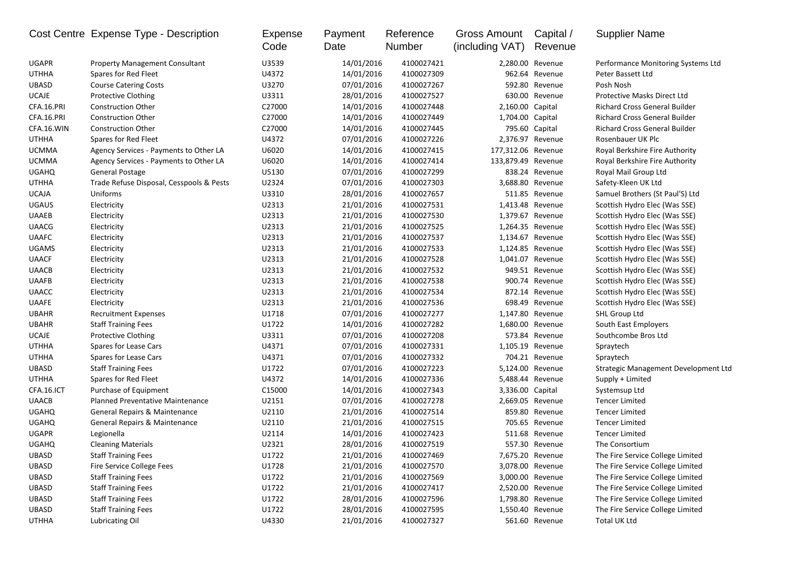|              | Cost Centre Expense Type - Description   | Expense<br>Code | Payment<br>Date | Reference<br>Number | Gross Amount<br>(including VAT) | Capital /<br>Revenue | <b>Supplier Name</b>                 |
|--------------|------------------------------------------|-----------------|-----------------|---------------------|---------------------------------|----------------------|--------------------------------------|
| <b>UGAPR</b> | <b>Property Management Consultant</b>    | U3539           | 14/01/2016      | 4100027421          |                                 | 2,280.00 Revenue     | Performance Monitoring Systems Ltd   |
| <b>UTHHA</b> | Spares for Red Fleet                     | U4372           | 14/01/2016      | 4100027309          |                                 | 962.64 Revenue       | Peter Bassett Ltd                    |
| <b>UBASD</b> | <b>Course Catering Costs</b>             | U3270           | 07/01/2016      | 4100027267          |                                 | 592.80 Revenue       | Posh Nosh                            |
| <b>UCAJE</b> | <b>Protective Clothing</b>               | U3311           | 28/01/2016      | 4100027527          |                                 | 630.00 Revenue       | Protective Masks Direct Ltd          |
| CFA.16.PRI   | <b>Construction Other</b>                | C27000          | 14/01/2016      | 4100027448          | 2,160.00 Capital                |                      | <b>Richard Cross General Builder</b> |
| CFA.16.PRI   | <b>Construction Other</b>                | C27000          | 14/01/2016      | 4100027449          | 1,704.00 Capital                |                      | Richard Cross General Builder        |
| CFA.16.WIN   | <b>Construction Other</b>                | C27000          | 14/01/2016      | 4100027445          |                                 | 795.60 Capital       | <b>Richard Cross General Builder</b> |
| <b>UTHHA</b> | Spares for Red Fleet                     | U4372           | 07/01/2016      | 4100027226          |                                 | 2,376.97 Revenue     | Rosenbauer UK Plc                    |
| <b>UCMMA</b> | Agency Services - Payments to Other LA   | U6020           | 14/01/2016      | 4100027415          | 177,312.06 Revenue              |                      | Royal Berkshire Fire Authority       |
| <b>UCMMA</b> | Agency Services - Payments to Other LA   | U6020           | 14/01/2016      | 4100027414          | 133,879.49 Revenue              |                      | Royal Berkshire Fire Authority       |
| <b>UGAHQ</b> | General Postage                          | U5130           | 07/01/2016      | 4100027299          |                                 | 838.24 Revenue       | Royal Mail Group Ltd                 |
| <b>UTHHA</b> | Trade Refuse Disposal, Cesspools & Pests | U2324           | 07/01/2016      | 4100027303          |                                 | 3,688.80 Revenue     | Safety-Kleen UK Ltd                  |
| <b>UCAJA</b> | Uniforms                                 | U3310           | 28/01/2016      | 4100027657          |                                 | 511.85 Revenue       | Samuel Brothers (St Paul'S) Ltd      |
| <b>UGAUS</b> | Electricity                              | U2313           | 21/01/2016      | 4100027531          |                                 | 1,413.48 Revenue     | Scottish Hydro Elec (Was SSE)        |
| <b>UAAEB</b> | Electricity                              | U2313           | 21/01/2016      | 4100027530          |                                 | 1,379.67 Revenue     | Scottish Hydro Elec (Was SSE)        |
| <b>UAACG</b> | Electricity                              | U2313           | 21/01/2016      | 4100027525          |                                 | 1,264.35 Revenue     | Scottish Hydro Elec (Was SSE)        |
| <b>UAAFC</b> | Electricity                              | U2313           | 21/01/2016      | 4100027537          |                                 | 1,134.67 Revenue     | Scottish Hydro Elec (Was SSE)        |
| <b>UGAMS</b> | Electricity                              | U2313           | 21/01/2016      | 4100027533          |                                 | 1,124.85 Revenue     | Scottish Hydro Elec (Was SSE)        |
| <b>UAACF</b> | Electricity                              | U2313           | 21/01/2016      | 4100027528          |                                 | 1,041.07 Revenue     | Scottish Hydro Elec (Was SSE)        |
| <b>UAACB</b> | Electricity                              | U2313           | 21/01/2016      | 4100027532          |                                 | 949.51 Revenue       | Scottish Hydro Elec (Was SSE)        |
| <b>UAAFB</b> | Electricity                              | U2313           | 21/01/2016      | 4100027538          |                                 | 900.74 Revenue       | Scottish Hydro Elec (Was SSE)        |
| <b>UAACC</b> | Electricity                              | U2313           | 21/01/2016      | 4100027534          |                                 | 872.14 Revenue       | Scottish Hydro Elec (Was SSE)        |
| <b>UAAFE</b> | Electricity                              | U2313           | 21/01/2016      | 4100027536          |                                 | 698.49 Revenue       | Scottish Hydro Elec (Was SSE)        |
| <b>UBAHR</b> | <b>Recruitment Expenses</b>              | U1718           | 07/01/2016      | 4100027277          | 1,147.80 Revenue                |                      | SHL Group Ltd                        |
| <b>UBAHR</b> | <b>Staff Training Fees</b>               | U1722           | 14/01/2016      | 4100027282          | 1,680.00 Revenue                |                      | South East Employers                 |
| <b>UCAJE</b> | <b>Protective Clothing</b>               | U3311           | 07/01/2016      | 4100027208          |                                 | 573.84 Revenue       | Southcombe Bros Ltd                  |
| <b>UTHHA</b> | Spares for Lease Cars                    | U4371           | 07/01/2016      | 4100027331          | 1,105.19 Revenue                |                      | Spraytech                            |
| <b>UTHHA</b> | Spares for Lease Cars                    | U4371           | 07/01/2016      | 4100027332          |                                 | 704.21 Revenue       | Spraytech                            |
| <b>UBASD</b> | <b>Staff Training Fees</b>               | U1722           | 07/01/2016      | 4100027223          |                                 | 5,124.00 Revenue     | Strategic Management Development Ltd |
| <b>UTHHA</b> | Spares for Red Fleet                     | U4372           | 14/01/2016      | 4100027336          |                                 | 5,488.44 Revenue     | Supply + Limited                     |
| CFA.16.ICT   | Purchase of Equipment                    | C15000          | 14/01/2016      | 4100027343          | 3,336.00 Capital                |                      | Systemsup Ltd                        |
| <b>UAACB</b> | <b>Planned Preventative Maintenance</b>  | U2151           | 07/01/2016      | 4100027278          |                                 | 2,669.05 Revenue     | <b>Tencer Limited</b>                |
| <b>UGAHQ</b> | General Repairs & Maintenance            | U2110           | 21/01/2016      | 4100027514          |                                 | 859.80 Revenue       | <b>Tencer Limited</b>                |
| <b>UGAHQ</b> | General Repairs & Maintenance            | U2110           | 21/01/2016      | 4100027515          |                                 | 705.65 Revenue       | <b>Tencer Limited</b>                |
| <b>UGAPR</b> | Legionella                               | U2114           | 14/01/2016      | 4100027423          |                                 | 511.68 Revenue       | <b>Tencer Limited</b>                |
| <b>UGAHQ</b> | <b>Cleaning Materials</b>                | U2321           | 28/01/2016      | 4100027519          |                                 | 557.30 Revenue       | The Consortium                       |
| <b>UBASD</b> | <b>Staff Training Fees</b>               | U1722           | 21/01/2016      | 4100027469          |                                 | 7,675.20 Revenue     | The Fire Service College Limited     |
| <b>UBASD</b> | Fire Service College Fees                | U1728           | 21/01/2016      | 4100027570          |                                 | 3,078.00 Revenue     | The Fire Service College Limited     |
| UBASD        | <b>Staff Training Fees</b>               | U1722           | 21/01/2016      | 4100027569          |                                 | 3,000.00 Revenue     | The Fire Service College Limited     |
| UBASD        | <b>Staff Training Fees</b>               | U1722           | 21/01/2016      | 4100027417          |                                 | 2,520.00 Revenue     | The Fire Service College Limited     |
| <b>UBASD</b> | <b>Staff Training Fees</b>               | U1722           | 28/01/2016      | 4100027596          |                                 | 1,798.80 Revenue     | The Fire Service College Limited     |
| UBASD        | <b>Staff Training Fees</b>               | U1722           | 28/01/2016      | 4100027595          |                                 | 1,550.40 Revenue     | The Fire Service College Limited     |
| UTHHA        | Lubricating Oil                          | U4330           | 21/01/2016      | 4100027327          |                                 | 561.60 Revenue       | Total UK Ltd                         |
|              |                                          |                 |                 |                     |                                 |                      |                                      |